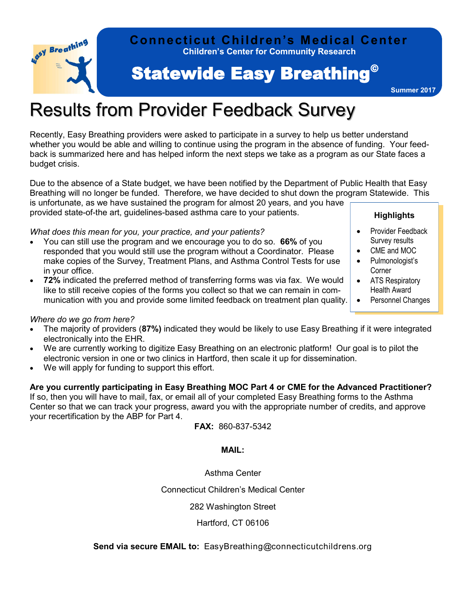

# Results from Provider Feedback Survey

Recently, Easy Breathing providers were asked to participate in a survey to help us better understand whether you would be able and willing to continue using the program in the absence of funding. Your feedback is summarized here and has helped inform the next steps we take as a program as our State faces a budget crisis.

Due to the absence of a State budget, we have been notified by the Department of Public Health that Easy Breathing will no longer be funded. Therefore, we have decided to shut down the program Statewide. This is unfortunate, as we have sustained the program for almost 20 years, and you have

provided state-of-the art, guidelines-based asthma care to your patients.

# *What does this mean for you, your practice, and your patients?*

- You can still use the program and we encourage you to do so. **66%** of you responded that you would still use the program without a Coordinator. Please make copies of the Survey, Treatment Plans, and Asthma Control Tests for use in your office.
- **72%** indicated the preferred method of transferring forms was via fax. We would like to still receive copies of the forms you collect so that we can remain in communication with you and provide some limited feedback on treatment plan quality.

#### **Highlights**

- Provider Feedback Survey results
	- CME and MOC
- Pulmonologist's Corner
- ATS Respiratory Health Award
- Personnel Changes

# *Where do we go from here?*

- The majority of providers (**87%)** indicated they would be likely to use Easy Breathing if it were integrated electronically into the EHR.
- We are currently working to digitize Easy Breathing on an electronic platform! Our goal is to pilot the electronic version in one or two clinics in Hartford, then scale it up for dissemination.
- We will apply for funding to support this effort.

# **Are you currently participating in Easy Breathing MOC Part 4 or CME for the Advanced Practitioner?**

If so, then you will have to mail, fax, or email all of your completed Easy Breathing forms to the Asthma Center so that we can track your progress, award you with the appropriate number of credits, and approve your recertification by the ABP for Part 4.

**FAX:** 860-837-5342

# **MAIL:**

# Asthma Center

Connecticut Children's Medical Center

282 Washington Street

Hartford, CT 06106

# **Send via secure EMAIL to:** EasyBreathing@connecticutchildrens.org